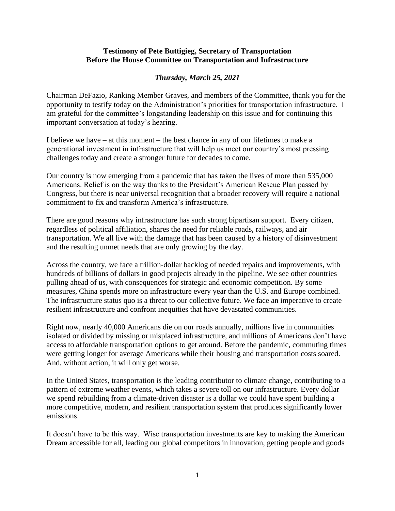## **Testimony of Pete Buttigieg, Secretary of Transportation Before the House Committee on Transportation and Infrastructure**

## *Thursday, March 25, 2021*

Chairman DeFazio, Ranking Member Graves, and members of the Committee, thank you for the opportunity to testify today on the Administration's priorities for transportation infrastructure. I am grateful for the committee's longstanding leadership on this issue and for continuing this important conversation at today's hearing.

I believe we have – at this moment – the best chance in any of our lifetimes to make a generational investment in infrastructure that will help us meet our country's most pressing challenges today and create a stronger future for decades to come.

Our country is now emerging from a pandemic that has taken the lives of more than 535,000 Americans. Relief is on the way thanks to the President's American Rescue Plan passed by Congress, but there is near universal recognition that a broader recovery will require a national commitment to fix and transform America's infrastructure.

There are good reasons why infrastructure has such strong bipartisan support. Every citizen, regardless of political affiliation, shares the need for reliable roads, railways, and air transportation. We all live with the damage that has been caused by a history of disinvestment and the resulting unmet needs that are only growing by the day.

Across the country, we face a trillion-dollar backlog of needed repairs and improvements, with hundreds of billions of dollars in good projects already in the pipeline. We see other countries pulling ahead of us, with consequences for strategic and economic competition. By some measures, China spends more on infrastructure every year than the U.S. and Europe combined. The infrastructure status quo is a threat to our collective future. We face an imperative to create resilient infrastructure and confront inequities that have devastated communities.

Right now, nearly 40,000 Americans die on our roads annually, millions live in communities isolated or divided by missing or misplaced infrastructure, and millions of Americans don't have access to affordable transportation options to get around. Before the pandemic, commuting times were getting longer for average Americans while their housing and transportation costs soared. And, without action, it will only get worse.

In the United States, transportation is the leading contributor to climate change, contributing to a pattern of extreme weather events, which takes a severe toll on our infrastructure. Every dollar we spend rebuilding from a climate-driven disaster is a dollar we could have spent building a more competitive, modern, and resilient transportation system that produces significantly lower emissions.

It doesn't have to be this way. Wise transportation investments are key to making the American Dream accessible for all, leading our global competitors in innovation, getting people and goods